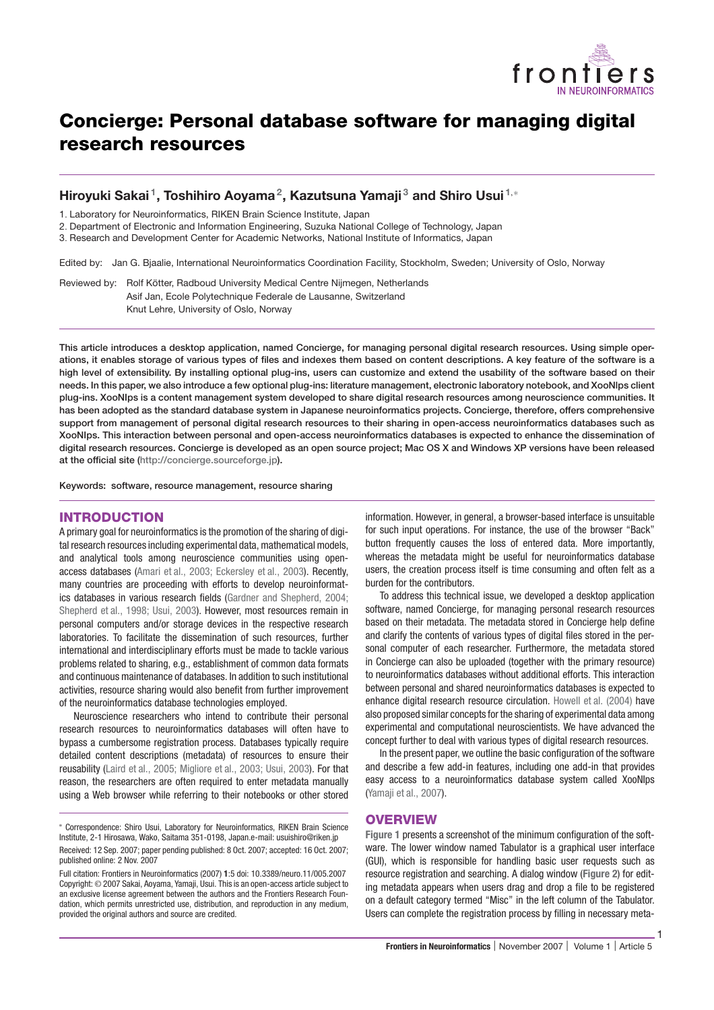

# **Concierge: Personal database software for managing digital research resources**

# **Hiroyuki Sakai 1, Toshihiro Aoyama2, Kazutsuna Yamaji <sup>3</sup> and Shiro Usui <sup>1</sup>**,<sup>∗</sup>

1. Laboratory for Neuroinformatics, RIKEN Brain Science Institute, Japan

2. Department of Electronic and Information Engineering, Suzuka National College of Technology, Japan

3. Research and Development Center for Academic Networks, National Institute of Informatics, Japan

Edited by: Jan G. Bjaalie, International Neuroinformatics Coordination Facility, Stockholm, Sweden; University of Oslo, Norway

Reviewed by: Rolf Kötter, Radboud University Medical Centre Nijmegen, Netherlands Asif Jan, Ecole Polytechnique Federale de Lausanne, Switzerland Knut Lehre, University of Oslo, Norway

**This article introduces a desktop application, named Concierge, for managing personal digital research resources. Using simple operations, it enables storage of various types of files and indexes them based on content descriptions. A key feature of the software is a high level of extensibility. By installing optional plug-ins, users can customize and extend the usability of the software based on their needs. In this paper, we also introduce a few optional plug-ins: literature management, electronic laboratory notebook, and XooNlps client plug-ins. XooNIps is a content management system developed to share digital research resources among neuroscience communities. It has been adopted as the standard database system in Japanese neuroinformatics projects. Concierge, therefore, offers comprehensive support from management of personal digital research resources to their sharing in open-access neuroinformatics databases such as XooNIps. This interaction between personal and open-access neuroinformatics databases is expected to enhance the dissemination of digital research resources. Concierge is developed as an open source project; Mac OS X and Windows XP versions have been released at the official site (http://concierge.sourceforge.jp).**

**Keywords: software, resource management, resource sharing**

### **INTRODUCTION**

A primary goal for neuroinformatics is the promotion of the sharing of digital research resources including experimental data, mathematical models, and analytical tools among neuroscience communities using openaccess databases (Amari et al., 2003; Eckersley et al., 2003). Recently, many countries are proceeding with efforts to develop neuroinformatics databases in various research fields (Gardner and Shepherd, 2004; Shepherd et al., 1998; Usui, 2003). However, most resources remain in personal computers and/or storage devices in the respective research laboratories. To facilitate the dissemination of such resources, further international and interdisciplinary efforts must be made to tackle various problems related to sharing, e.g., establishment of common data formats and continuous maintenance of databases. In addition to such institutional activities, resource sharing would also benefit from further improvement of the neuroinformatics database technologies employed.

Neuroscience researchers who intend to contribute their personal research resources to neuroinformatics databases will often have to bypass a cumbersome registration process. Databases typically require detailed content descriptions (metadata) of resources to ensure their reusability (Laird et al., 2005; Migliore et al., 2003; Usui, 2003). For that reason, the researchers are often required to enter metadata manually using a Web browser while referring to their notebooks or other stored information. However, in general, a browser-based interface is unsuitable for such input operations. For instance, the use of the browser "Back" button frequently causes the loss of entered data. More importantly, whereas the metadata might be useful for neuroinformatics database users, the creation process itself is time consuming and often felt as a burden for the contributors.

To address this technical issue, we developed a desktop application software, named Concierge, for managing personal research resources based on their metadata. The metadata stored in Concierge help define and clarify the contents of various types of digital files stored in the personal computer of each researcher. Furthermore, the metadata stored in Concierge can also be uploaded (together with the primary resource) to neuroinformatics databases without additional efforts. This interaction between personal and shared neuroinformatics databases is expected to enhance digital research resource circulation. Howell et al. (2004) have also proposed similar concepts for the sharing of experimental data among experimental and computational neuroscientists. We have advanced the concept further to deal with various types of digital research resources.

In the present paper, we outline the basic configuration of the software and describe a few add-in features, including one add-in that provides easy access to a neuroinformatics database system called XooNIps (Yamaji et al., 2007).

### **OVERVIEW**

**Figure 1** presents a screenshot of the minimum configuration of the software. The lower window named Tabulator is a graphical user interface (GUI), which is responsible for handling basic user requests such as resource registration and searching. A dialog window (**Figure 2**) for editing metadata appears when users drag and drop a file to be registered on a default category termed "Misc" in the left column of the Tabulator. Users can complete the registration process by filling in necessary meta-

1

<sup>∗</sup> Correspondence: Shiro Usui, Laboratory for Neuroinformatics, RIKEN Brain Science Institute, 2-1 Hirosawa, Wako, Saitama 351-0198, Japan.e-mail: usuishiro@riken.jp Received: 12 Sep. 2007; paper pending published: 8 Oct. 2007; accepted: 16 Oct. 2007; published online: 2 Nov. 2007

Full citation: Frontiers in Neuroinformatics (2007) **1**:5 doi: 10.3389/neuro.11/005.2007 Copyright: © 2007 Sakai, Aoyama, Yamaji, Usui. This is an open-access article subject to an exclusive license agreement between the authors and the Frontiers Research Foundation, which permits unrestricted use, distribution, and reproduction in any medium, provided the original authors and source are credited.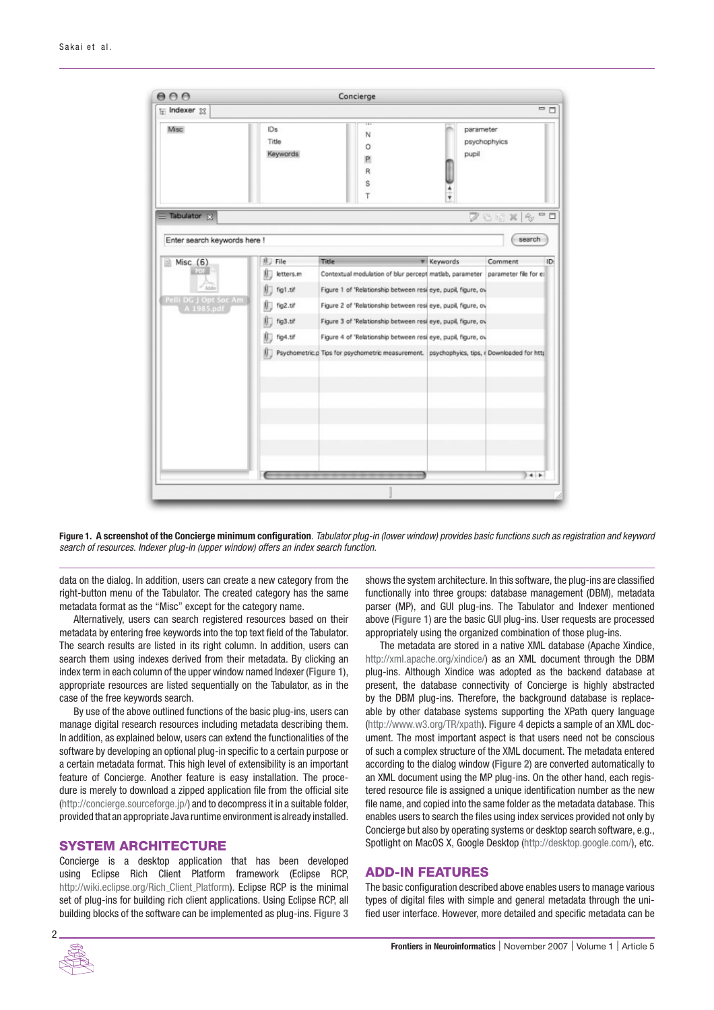

**Figure 1. A screenshot of the Concierge minimum configuration**. Tabulator plug-in (lower window) provides basic functions such as registration and keyword search of resources. Indexer plug-in (upper window) offers an index search function.

data on the dialog. In addition, users can create a new category from the right-button menu of the Tabulator. The created category has the same metadata format as the "Misc" except for the category name.

Alternatively, users can search registered resources based on their metadata by entering free keywords into the top text field of the Tabulator. The search results are listed in its right column. In addition, users can search them using indexes derived from their metadata. By clicking an index term in each column of the upper window named Indexer (**Figure 1**), appropriate resources are listed sequentially on the Tabulator, as in the case of the free keywords search.

By use of the above outlined functions of the basic plug-ins, users can manage digital research resources including metadata describing them. In addition, as explained below, users can extend the functionalities of the software by developing an optional plug-in specific to a certain purpose or a certain metadata format. This high level of extensibility is an important feature of Concierge. Another feature is easy installation. The procedure is merely to download a zipped application file from the official site (http://concierge.sourceforge.jp/) and to decompress it in a suitable folder, provided that an appropriate Javaruntime environment is already installed.

# **SYSTEM ARCHITECTURE**

Concierge is a desktop application that has been developed using Eclipse Rich Client Platform framework (Eclipse RCP, http://wiki.eclipse.org/Rich\_Client\_Platform). Eclipse RCP is the minimal set of plug-ins for building rich client applications. Using Eclipse RCP, all building blocks of the software can be implemented as plug-ins. **Figure 3** shows the system architecture. In this software, the plug-ins are classified functionally into three groups: database management (DBM), metadata parser (MP), and GUI plug-ins. The Tabulator and Indexer mentioned above (**Figure 1**) are the basic GUI plug-ins. User requests are processed appropriately using the organized combination of those plug-ins.

The metadata are stored in a native XML database (Apache Xindice, http://xml.apache.org/xindice/) as an XML document through the DBM plug-ins. Although Xindice was adopted as the backend database at present, the database connectivity of Concierge is highly abstracted by the DBM plug-ins. Therefore, the background database is replaceable by other database systems supporting the XPath query language (http://www.w3.org/TR/xpath). **Figure 4** depicts a sample of an XML document. The most important aspect is that users need not be conscious of such a complex structure of the XML document. The metadata entered according to the dialog window (**Figure 2**) are converted automatically to an XML document using the MP plug-ins. On the other hand, each registered resource file is assigned a unique identification number as the new file name, and copied into the same folder as the metadata database. This enables users to search the files using index services provided not only by Concierge but also by operating systems or desktop search software, e.g., Spotlight on MacOS X, Google Desktop (http://desktop.google.com/), etc.

# **ADD-IN FEATURES**

The basic configuration described above enables users to manage various types of digital files with simple and general metadata through the unified user interface. However, more detailed and specific metadata can be

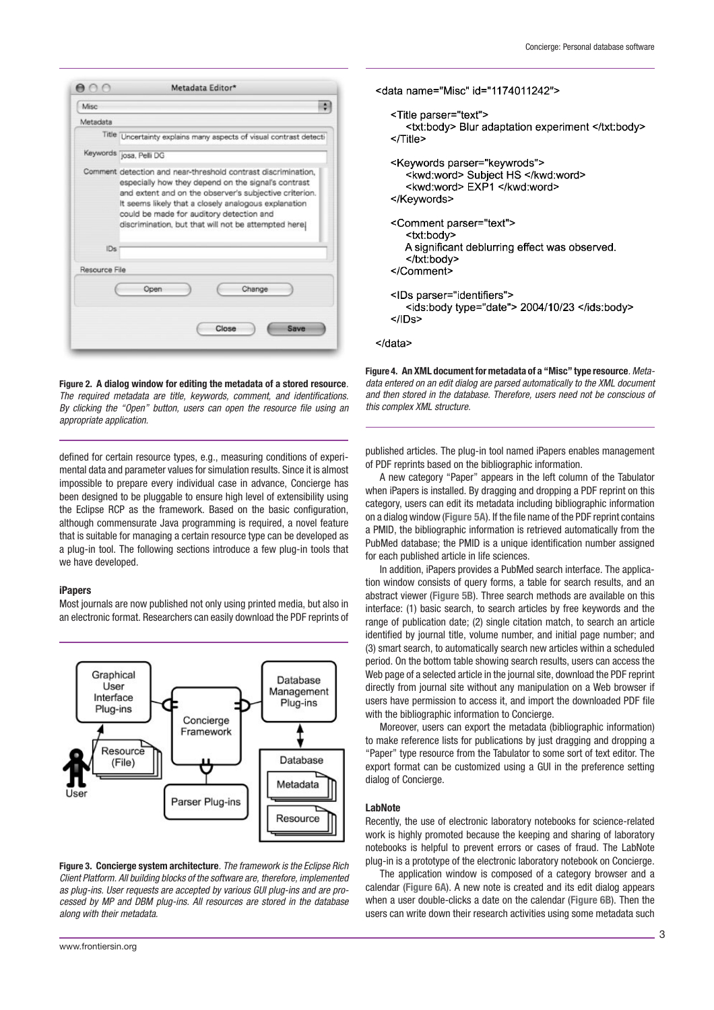|               | Metadata Editor*                                                                                                                                                                                                                                                                                                                           |  |  |
|---------------|--------------------------------------------------------------------------------------------------------------------------------------------------------------------------------------------------------------------------------------------------------------------------------------------------------------------------------------------|--|--|
| Misc          |                                                                                                                                                                                                                                                                                                                                            |  |  |
| Metadata      |                                                                                                                                                                                                                                                                                                                                            |  |  |
|               | Title Uncertainty explains many aspects of visual contrast detecti                                                                                                                                                                                                                                                                         |  |  |
|               | Keywords josa, Pelli DG                                                                                                                                                                                                                                                                                                                    |  |  |
|               | Comment detection and near-threshold contrast discrimination,<br>especially how they depend on the signal's contrast<br>and extent and on the observer's subjective criterion.<br>It seems likely that a closely analogous explanation<br>could be made for auditory detection and<br>discrimination, but that will not be attempted here) |  |  |
| IDs           |                                                                                                                                                                                                                                                                                                                                            |  |  |
| Resource File |                                                                                                                                                                                                                                                                                                                                            |  |  |
|               | Change<br>Open                                                                                                                                                                                                                                                                                                                             |  |  |
|               | Close<br><b>Save</b>                                                                                                                                                                                                                                                                                                                       |  |  |

**Figure 2. A dialog window for editing the metadata of a stored resource**. The required metadata are title, keywords, comment, and identifications. By clicking the "Open" button, users can open the resource file using an appropriate application.

defined for certain resource types, e.g., measuring conditions of experimental data and parameter values for simulation results. Since it is almost impossible to prepare every individual case in advance, Concierge has been designed to be pluggable to ensure high level of extensibility using the Eclipse RCP as the framework. Based on the basic configuration, although commensurate Java programming is required, a novel feature that is suitable for managing a certain resource type can be developed as a plug-in tool. The following sections introduce a few plug-in tools that we have developed.

#### **iPapers**

Most journals are now published not only using printed media, but also in an electronic format. Researchers can easily download the PDF reprints of



**Figure 3. Concierge system architecture**. The framework is the Eclipse Rich Client Platform. All building blocks of the software are, therefore, implemented as plug-ins. User requests are accepted by various GUI plug-ins and are processed by MP and DBM plug-ins. All resources are stored in the database along with their metadata.

```
<data name="Misc" id="1174011242">
 <Title parser="text">
    <txt:body> Blur adaptation experiment </txt:body>
 </Title>
 <Keywords parser="keywrods">
    <kwd:word> Subject HS </kwd:word>
    <kwd:word> EXP1 </kwd:word>
 </Keywords>
<Comment parser="text">
    <txt:body>
   A significant deblurring effect was observed.
    </txt:body>
</Comment>
 <IDs parser="identifiers">
    <ids:body type="date"> 2004/10/23 </ids:body>
</IDs>
```
</data>

**Figure 4. An XML document for metadata of a "Misc" type resource**. Metadata entered on an edit dialog are parsed automatically to the XML document and then stored in the database. Therefore, users need not be conscious of this complex XML structure.

published articles. The plug-in tool named iPapers enables management of PDF reprints based on the bibliographic information.

A new category "Paper" appears in the left column of the Tabulator when iPapers is installed. By dragging and dropping a PDF reprint on this category, users can edit its metadata including bibliographic information on a dialog window (**Figure 5A**). If the file name of the PDF reprint contains a PMID, the bibliographic information is retrieved automatically from the PubMed database; the PMID is a unique identification number assigned for each published article in life sciences.

In addition, iPapers provides a PubMed search interface. The application window consists of query forms, a table for search results, and an abstract viewer (**Figure 5B**). Three search methods are available on this interface: (1) basic search, to search articles by free keywords and the range of publication date; (2) single citation match, to search an article identified by journal title, volume number, and initial page number; and (3) smart search, to automatically search new articles within a scheduled period. On the bottom table showing search results, users can access the Web page of a selected article in the journal site, download the PDF reprint directly from journal site without any manipulation on a Web browser if users have permission to access it, and import the downloaded PDF file with the bibliographic information to Concierge.

Moreover, users can export the metadata (bibliographic information) to make reference lists for publications by just dragging and dropping a "Paper" type resource from the Tabulator to some sort of text editor. The export format can be customized using a GUI in the preference setting dialog of Concierge.

### **LabNote**

Recently, the use of electronic laboratory notebooks for science-related work is highly promoted because the keeping and sharing of laboratory notebooks is helpful to prevent errors or cases of fraud. The LabNote plug-in is a prototype of the electronic laboratory notebook on Concierge.

The application window is composed of a category browser and a calendar (**Figure 6A**). A new note is created and its edit dialog appears when a user double-clicks a date on the calendar (**Figure 6B**). Then the users can write down their research activities using some metadata such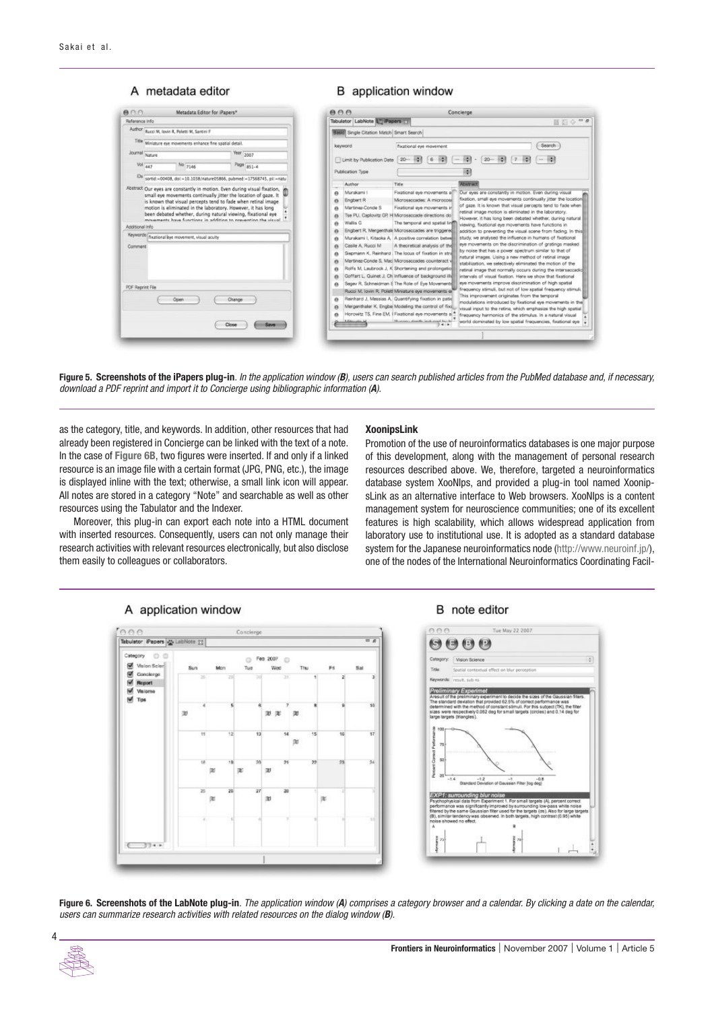# A metadata editor

| <b>B</b> application window |  |
|-----------------------------|--|
|-----------------------------|--|

|                                                                                                                                                                                                                                                                                                                                                                                                                                                                                                 | AA<br>Concierge                                                                                                                                                                                                                                                                                                                                                                                                                                                                                                                                                                                                                                                                                                                                                                                                                                                                                                                                                                                                                                                                                                                                                                                                                                                                                                                                                                                                                                                                                                                                                                                                                                              |
|-------------------------------------------------------------------------------------------------------------------------------------------------------------------------------------------------------------------------------------------------------------------------------------------------------------------------------------------------------------------------------------------------------------------------------------------------------------------------------------------------|--------------------------------------------------------------------------------------------------------------------------------------------------------------------------------------------------------------------------------------------------------------------------------------------------------------------------------------------------------------------------------------------------------------------------------------------------------------------------------------------------------------------------------------------------------------------------------------------------------------------------------------------------------------------------------------------------------------------------------------------------------------------------------------------------------------------------------------------------------------------------------------------------------------------------------------------------------------------------------------------------------------------------------------------------------------------------------------------------------------------------------------------------------------------------------------------------------------------------------------------------------------------------------------------------------------------------------------------------------------------------------------------------------------------------------------------------------------------------------------------------------------------------------------------------------------------------------------------------------------------------------------------------------------|
| Reference info                                                                                                                                                                                                                                                                                                                                                                                                                                                                                  | Tabulator LabNote UV iPapers 53<br>国目の一点                                                                                                                                                                                                                                                                                                                                                                                                                                                                                                                                                                                                                                                                                                                                                                                                                                                                                                                                                                                                                                                                                                                                                                                                                                                                                                                                                                                                                                                                                                                                                                                                                     |
| Author Bacci M, lovin R, Poletti M, Santini F                                                                                                                                                                                                                                                                                                                                                                                                                                                   | Basic Single Citation Match Smart Search                                                                                                                                                                                                                                                                                                                                                                                                                                                                                                                                                                                                                                                                                                                                                                                                                                                                                                                                                                                                                                                                                                                                                                                                                                                                                                                                                                                                                                                                                                                                                                                                                     |
| Title Winlature eye movements enhance fine spatial detail.                                                                                                                                                                                                                                                                                                                                                                                                                                      | <b>Search</b><br>keyword<br>fixational eve movement                                                                                                                                                                                                                                                                                                                                                                                                                                                                                                                                                                                                                                                                                                                                                                                                                                                                                                                                                                                                                                                                                                                                                                                                                                                                                                                                                                                                                                                                                                                                                                                                          |
| Journal Nature<br>Year 2007<br>Vol 447<br>No 7146<br>Page 851-4                                                                                                                                                                                                                                                                                                                                                                                                                                 | Limit by Publication Date<br>$20 -$                                                                                                                                                                                                                                                                                                                                                                                                                                                                                                                                                                                                                                                                                                                                                                                                                                                                                                                                                                                                                                                                                                                                                                                                                                                                                                                                                                                                                                                                                                                                                                                                                          |
| Ds<br>sortid =00408, doi:=10.1038/nature05866, pubmed:=17568745, pil:=natur                                                                                                                                                                                                                                                                                                                                                                                                                     | Publication Type                                                                                                                                                                                                                                                                                                                                                                                                                                                                                                                                                                                                                                                                                                                                                                                                                                                                                                                                                                                                                                                                                                                                                                                                                                                                                                                                                                                                                                                                                                                                                                                                                                             |
|                                                                                                                                                                                                                                                                                                                                                                                                                                                                                                 | <b>Abstract</b><br>Title<br>Author                                                                                                                                                                                                                                                                                                                                                                                                                                                                                                                                                                                                                                                                                                                                                                                                                                                                                                                                                                                                                                                                                                                                                                                                                                                                                                                                                                                                                                                                                                                                                                                                                           |
| Abstract Our eyes are constantly in motion. Even during visual fixation,<br>small eye movements continually jitter the location of gaze. It<br>is known that visual percepts tend to fade when retinal image<br>motion is eliminated in the laboratory. However, it has long<br>been debated whether, during natural viewing, fixational eye<br>movements have functions in addition to prevention the visual<br>Additional Info<br>Keywords invational leye movement, visual acuity<br>Comment | Fixational eye movements all<br>Our eyes are constantly in motion. Even during visual<br>Murakami I<br>e<br>fixation, small eye movements continually jitter the location<br>Microsaccades: A microcosi<br><b>Engbert R</b><br>ø<br>of gaze. It is known that visual percepts tend to fade when<br>Martinez-Conde S<br>Fixational eye movements in<br>iretinal image motion is eliminated in the laboratory.<br>Tse PLI. Caplovitz GP. H Microsaccade directions do<br>However, it has long been debated whether, during natural<br>Wallis G<br>The temporal and spatial line<br>ø<br>iviewing, fixational eye movements have functions in<br>Engbert R. Mergenthale Microsaccades are triggered<br>addition to preventing the visual scene from facing. In this<br>study, we analysed the influence in humans of fixational<br>Murakami I, Kitaoka A. A positive correlation between<br>eve movements on the discrimination of gratings masked<br>Casile A. Rucol M.<br>A theoretical analysis of the<br>by noise that has a power spectrum similar to that of<br>Siepmann K. Reinhard The locus of fixation in stra<br>instural images. Using a new method of retinal image<br>Martinez-Conde S. Mac Microsaccades counteract v<br>e<br>stabilization, we selectively eliminated the motion of the<br>Rolfs M, Laubrock J, K Shortening and prolongation<br>Instinal image that normally occurs during the intersaccadic<br>Goffart L. Quinet J. Ch influence of background illu<br>intervals of visual fixation. Here we show that fixational<br>leye movements improve discrimination of high spatial<br>Segev R, Schneidman E The Role of Eye Movements |
| PDF Reprint File<br>Open<br>Change<br>Close<br>Save --                                                                                                                                                                                                                                                                                                                                                                                                                                          | frequency stimuli, but not of low spatial frequency stimuli.<br>Rucci M. Jovin R. Polett Miniature eye movements er<br>This improvement originates from the temporal<br>Reinhard J. Messias A. Quantifying fixation in patie<br>a<br>modulations introduced by fixational eye movements in the<br>Mergenthaler K. Engbe Modeling the control of fixe.<br>visual input to the retina, which emphasize the high spatial<br>Horowitz TS, Fine EM, I Fixational eye movements a<br>frequency harmonics of the stimulus. In a natural visual<br>Humani donth industed by b<br>world dominated by low spatial frequencies, fixational eye a<br>$-1 - 1 - 1$                                                                                                                                                                                                                                                                                                                                                                                                                                                                                                                                                                                                                                                                                                                                                                                                                                                                                                                                                                                                        |

**Figure 5. Screenshots of the iPapers plug-in**. In the application window (*B*), users can search published articles from the PubMed database and, if necessary, download a PDF reprint and import it to Concierge using bibliographic information (*A*).

as the category, title, and keywords. In addition, other resources that had already been registered in Concierge can be linked with the text of a note. In the case of **Figure 6B**, two figures were inserted. If and only if a linked resource is an image file with a certain format (JPG, PNG, etc.), the image is displayed inline with the text; otherwise, a small link icon will appear. All notes are stored in a category "Note" and searchable as well as other resources using the Tabulator and the Indexer.

Moreover, this plug-in can export each note into a HTML document with inserted resources. Consequently, users can not only manage their research activities with relevant resources electronically, but also disclose them easily to colleagues or collaborators.

### **XoonipsLink**

Promotion of the use of neuroinformatics databases is one major purpose of this development, along with the management of personal research resources described above. We, therefore, targeted a neuroinformatics database system XooNIps, and provided a plug-in tool named XoonipsLink as an alternative interface to Web browsers. XooNIps is a content management system for neuroscience communities; one of its excellent features is high scalability, which allows widespread application from laboratory use to institutional use. It is adopted as a standard database system for the Japanese neuroinformatics node (http://www.neuroinf.jp/), one of the nodes of the International Neuroinformatics Coordinating Facil-



# B note editor



**Figure 6. Screenshots of the LabNote plug-in**. The application window (*A*) comprises a category browser and a calendar. By clicking a date on the calendar, users can summarize research activities with related resources on the dialog window (*B*).

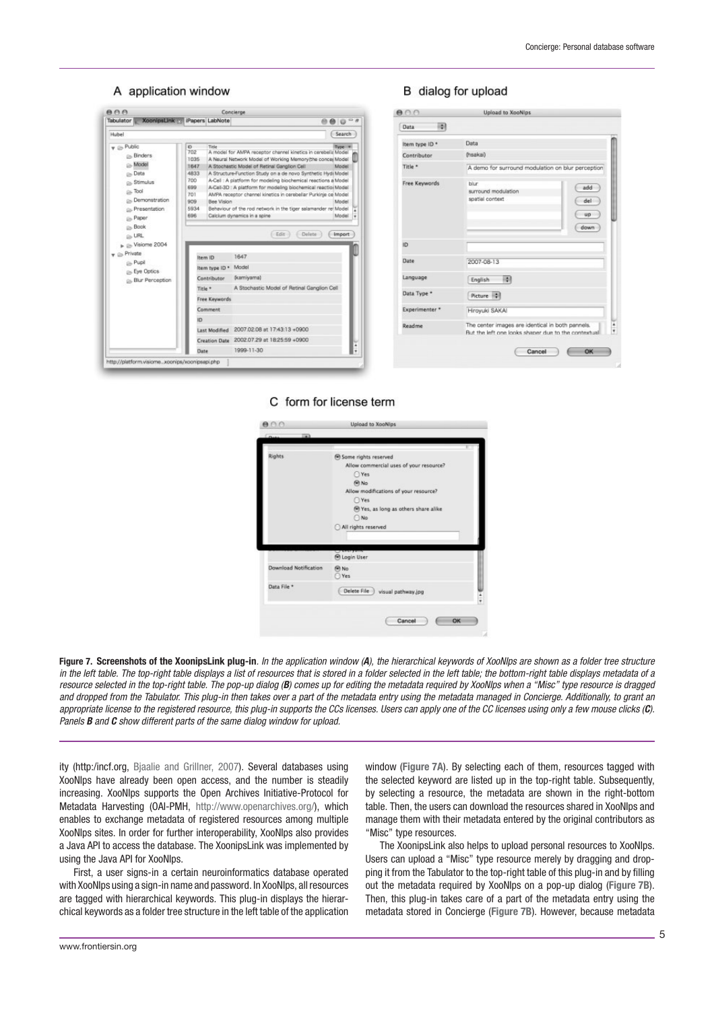### A application window



| HAI<br>Data    |                                                                                                         |  |
|----------------|---------------------------------------------------------------------------------------------------------|--|
| Item type ID * | Data                                                                                                    |  |
| Contributor    | (hsakai)                                                                                                |  |
| Title *        | A demo for surround modulation on blur perception                                                       |  |
| Free Keywords  | blur<br>add<br>surround modulation<br>spatial context<br>del<br>up<br>down                              |  |
| ID.            |                                                                                                         |  |
| Date           | 2007-08-13                                                                                              |  |
| Language       | 89<br>English                                                                                           |  |
| Data Type *    | Picture #                                                                                               |  |
| Experimenter * | Hiroyuki SAKAI                                                                                          |  |
| Readme         | The center images are identical in both pannels.<br>But the left one looks shaper due to the contextual |  |

B dialog for upload

### C form for license term



**Figure 7. Screenshots of the XoonipsLink plug-in**. In the application window (*A*), the hierarchical keywords of XooNIps are shown as a folder tree structure in the left table. The top-right table displays a list of resources that is stored in a folder selected in the left table; the bottom-right table displays metadata of a resource selected in the top-right table. The pop-up dialog (*B*) comes up for editing the metadata required by XooNIps when a "Misc" type resource is dragged and dropped from the Tabulator. This plug-in then takes over a part of the metadata entry using the metadata managed in Concierge. Additionally, to grant an appropriate license to the registered resource, this plug-in supports the CCs licenses. Users can apply one of the CC licenses using only a few mouse clicks (*C*). Panels *B* and *C* show different parts of the same dialog window for upload.

ity (http:/incf.org, Bjaalie and Grillner, 2007). Several databases using XooNIps have already been open access, and the number is steadily increasing. XooNIps supports the Open Archives Initiative-Protocol for Metadata Harvesting (OAI-PMH, http://www.openarchives.org/), which enables to exchange metadata of registered resources among multiple XooNIps sites. In order for further interoperability, XooNIps also provides a Java API to access the database. The XoonipsLink was implemented by using the Java API for XooNIps.

First, a user signs-in a certain neuroinformatics database operated with XooNIps using a sign-in name and password. In XooNIps, all resources are tagged with hierarchical keywords. This plug-in displays the hierarchical keywords as a folder tree structure in the left table of the application

window (**Figure 7A**). By selecting each of them, resources tagged with the selected keyword are listed up in the top-right table. Subsequently, by selecting a resource, the metadata are shown in the right-bottom table. Then, the users can download the resources shared in XooNIps and manage them with their metadata entered by the original contributors as "Misc" type resources.

The XoonipsLink also helps to upload personal resources to XooNIps. Users can upload a "Misc" type resource merely by dragging and dropping it from the Tabulator to the top-right table of this plug-in and by filling out the metadata required by XooNIps on a pop-up dialog (**Figure 7B**). Then, this plug-in takes care of a part of the metadata entry using the metadata stored in Concierge (**Figure 7B**). However, because metadata